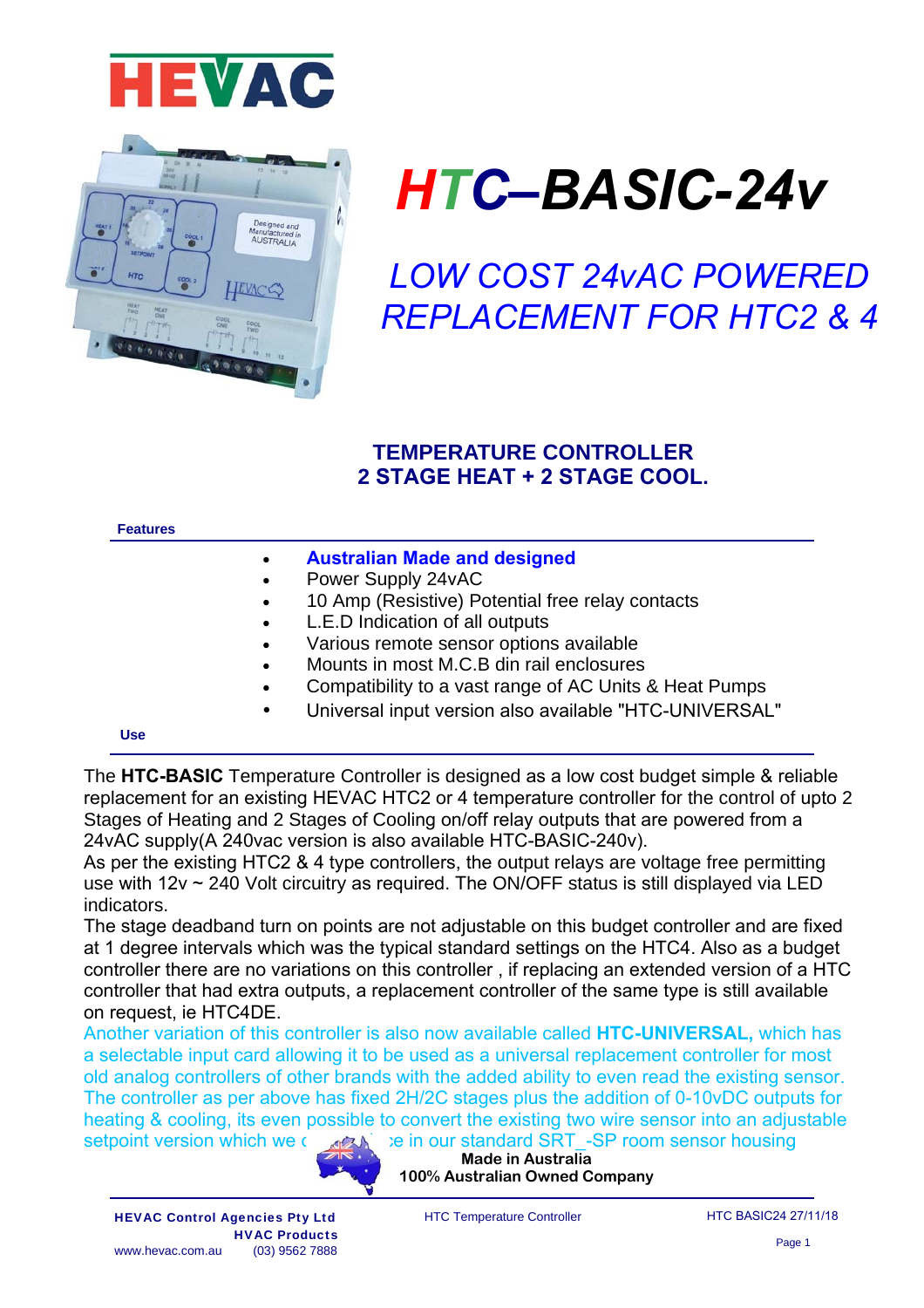



# *HTC–BASIC-24v*

*LOW COST 24vAC POWERED REPLACEMENT FOR HTC2 & 4*

# **TEMPERATURE CONTROLLER 2 STAGE HEAT + 2 STAGE COOL.**

#### **Features**

- **Australian Made and designed**
- Power Supply 24vAC
- 10 Amp (Resistive) Potential free relay contacts
- L.E.D Indication of all outputs
- Various remote sensor options available
- Mounts in most M.C.B din rail enclosures
- Compatibility to a vast range of AC Units & Heat Pumps
- Universal input version also available "HTC-UNIVERSAL"

#### **Use**

The **HTC-BASIC** Temperature Controller is designed as a low cost budget simple & reliable replacement for an existing HEVAC HTC2 or 4 temperature controller for the control of upto 2 Stages of Heating and 2 Stages of Cooling on/off relay outputs that are powered from a 24vAC supply(A 240vac version is also available HTC-BASIC-240v).

As per the existing HTC2 & 4 type controllers, the output relays are voltage free permitting use with 12v ~ 240 Volt circuitry as required. The ON/OFF status is still displayed via LED indicators.

The stage deadband turn on points are not adjustable on this budget controller and are fixed at 1 degree intervals which was the typical standard settings on the HTC4. Also as a budget controller there are no variations on this controller , if replacing an extended version of a HTC controller that had extra outputs, a replacement controller of the same type is still available on request, ie HTC4DE.

Another variation of this controller is also now available called **HTC-UNIVERSAL,** which has a selectable input card allowing it to be used as a universal replacement controller for most old analog controllers of other brands with the added ability to even read the existing sensor. The controller as per above has fixed 2H/2C stages plus the addition of 0-10vDC outputs for heating & cooling, its even possible to convert the existing two wire sensor into an adjustable setpoint version which we can produce in our standard SRT -SP room sensor housing



**Made in Australia 100% Australian Owned Company** 

HTC Temperature Controller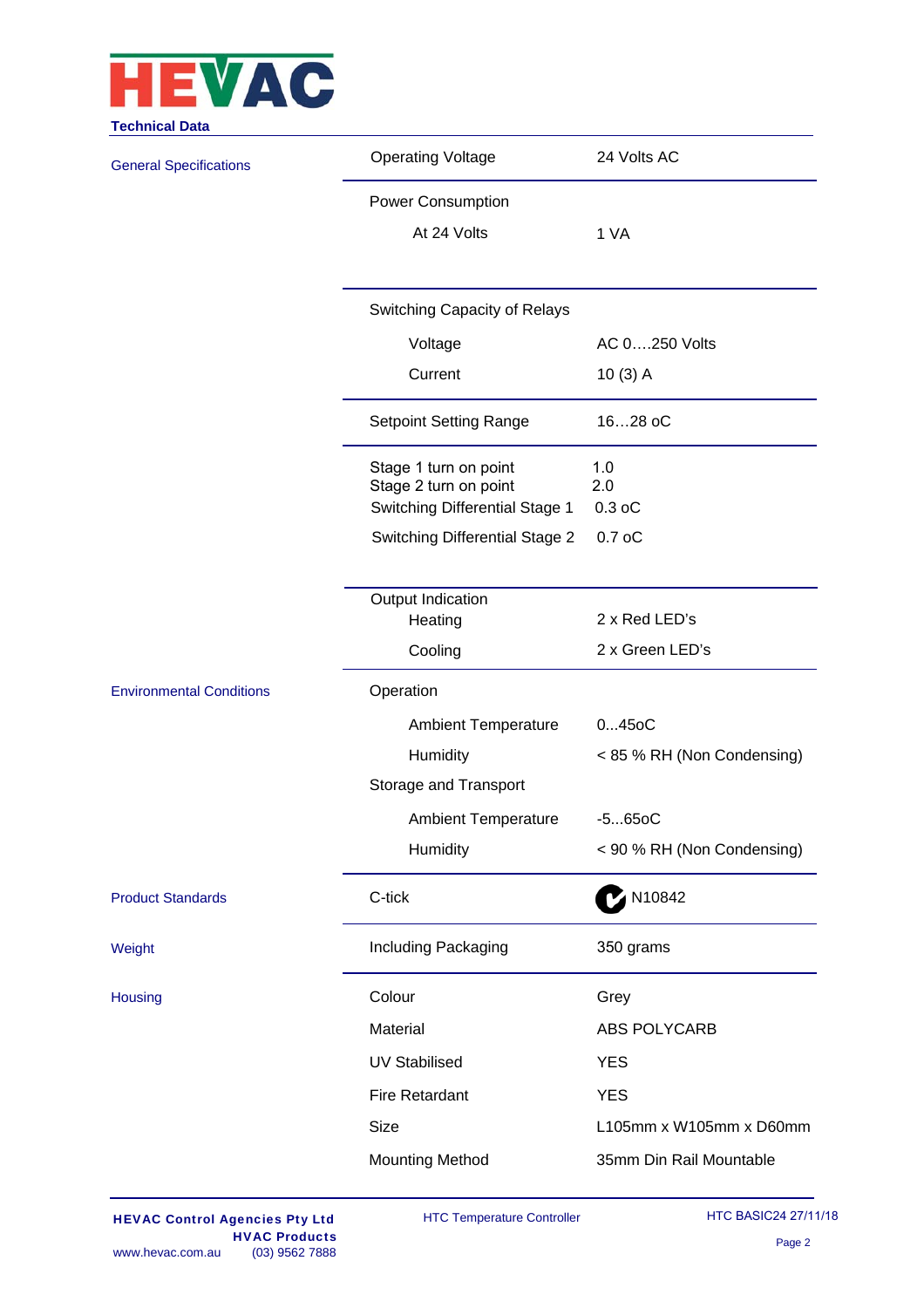

| <b>Operating Voltage</b>                          | 24 Volts AC                                                                                   |  |  |  |  |  |
|---------------------------------------------------|-----------------------------------------------------------------------------------------------|--|--|--|--|--|
| <b>Power Consumption</b>                          |                                                                                               |  |  |  |  |  |
| At 24 Volts                                       | 1 VA                                                                                          |  |  |  |  |  |
|                                                   |                                                                                               |  |  |  |  |  |
| Switching Capacity of Relays                      |                                                                                               |  |  |  |  |  |
| Voltage                                           | AC 0250 Volts                                                                                 |  |  |  |  |  |
| Current                                           | $10(3)$ A                                                                                     |  |  |  |  |  |
| <b>Setpoint Setting Range</b>                     | 1628 oC<br>1.0<br>2.0<br>$0.3$ oC<br>0.7 <sub>o</sub> C                                       |  |  |  |  |  |
| Stage 1 turn on point<br>Stage 2 turn on point    |                                                                                               |  |  |  |  |  |
|                                                   |                                                                                               |  |  |  |  |  |
|                                                   |                                                                                               |  |  |  |  |  |
| Output Indication                                 |                                                                                               |  |  |  |  |  |
|                                                   | 2 x Red LED's                                                                                 |  |  |  |  |  |
|                                                   | 2 x Green LED's                                                                               |  |  |  |  |  |
| Operation                                         |                                                                                               |  |  |  |  |  |
| <b>Ambient Temperature</b>                        | $045$ oC                                                                                      |  |  |  |  |  |
| Humidity                                          | < 85 % RH (Non Condensing)                                                                    |  |  |  |  |  |
| Storage and Transport                             |                                                                                               |  |  |  |  |  |
| <b>Ambient Temperature</b>                        | $-5650C$                                                                                      |  |  |  |  |  |
| Humidity                                          | < 90 % RH (Non Condensing)                                                                    |  |  |  |  |  |
| C-tick                                            | N10842                                                                                        |  |  |  |  |  |
| Including Packaging                               | 350 grams                                                                                     |  |  |  |  |  |
| Colour                                            | Grey                                                                                          |  |  |  |  |  |
| Material                                          | <b>ABS POLYCARB</b>                                                                           |  |  |  |  |  |
| <b>UV Stabilised</b>                              | <b>YES</b>                                                                                    |  |  |  |  |  |
| <b>Fire Retardant</b>                             | <b>YES</b>                                                                                    |  |  |  |  |  |
| <b>Size</b>                                       | L105mm x W105mm x D60mm                                                                       |  |  |  |  |  |
| <b>Mounting Method</b><br>35mm Din Rail Mountable |                                                                                               |  |  |  |  |  |
|                                                   | Switching Differential Stage 1<br><b>Switching Differential Stage 2</b><br>Heating<br>Cooling |  |  |  |  |  |

HTC Temperature Controller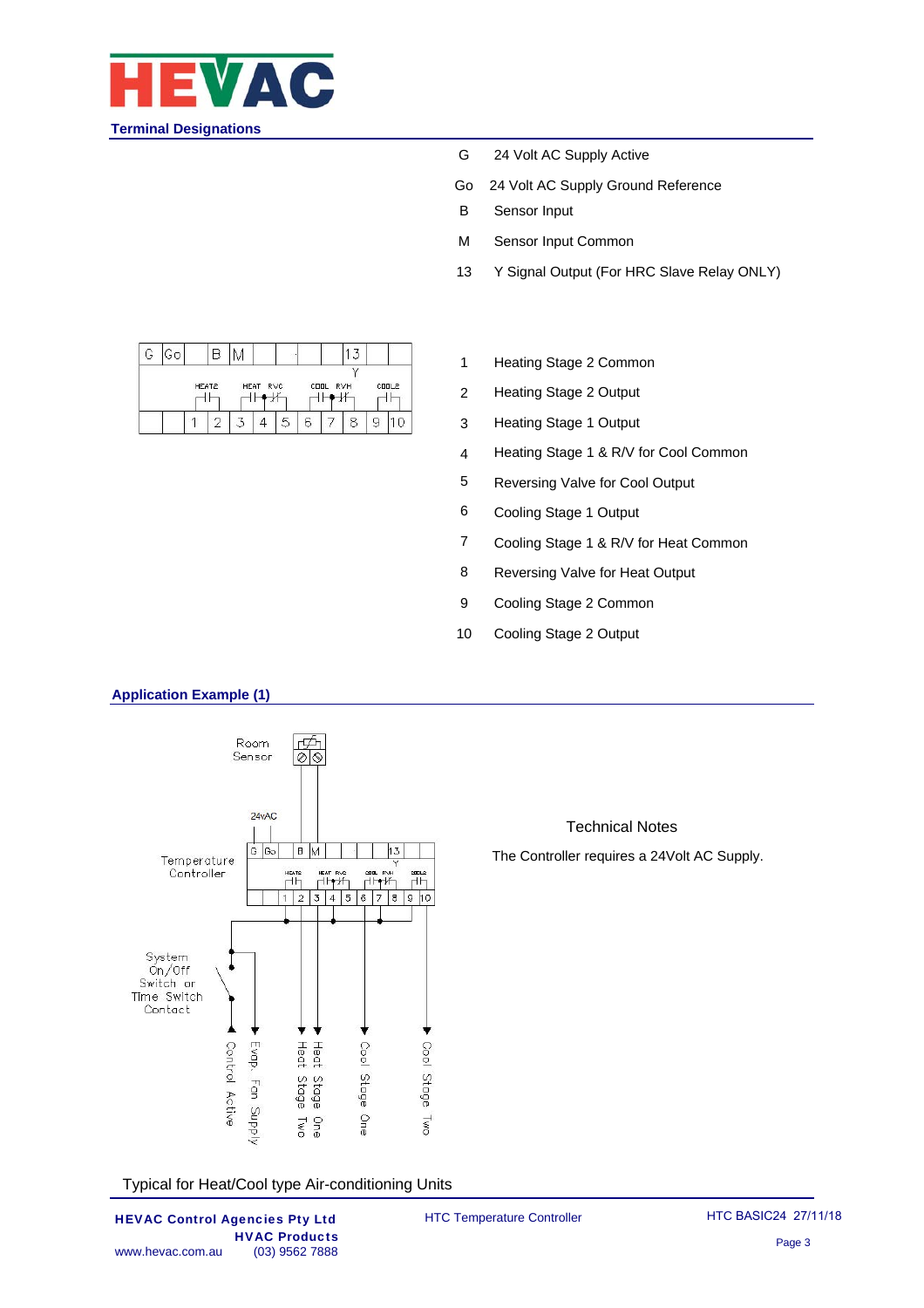

- G 24 Volt AC Supply Active
- Go 24 Volt AC Supply Ground Reference
- B Sensor Input
- M Sensor Input Common
- 13 Y Signal Output (For HRC Slave Relay ONLY)

| G | Go                         |  |  |                         |   |   |       |   |  |  |
|---|----------------------------|--|--|-------------------------|---|---|-------|---|--|--|
|   | HEAT2<br>HEAT RVC<br>$-1V$ |  |  | COOL RVH<br>$\sim$ 1.1/ |   |   | CODL2 |   |  |  |
|   |                            |  |  |                         | 5 | 6 |       | c |  |  |

- 1 Heating Stage 2 Common
- 2 Heating Stage 2 Output
- 3 Heating Stage 1 Output
- 4 Heating Stage 1 & R/V for Cool Common
- 5 Reversing Valve for Cool Output
- 6 Cooling Stage 1 Output
- 7 Cooling Stage 1 & R/V for Heat Common

Technical Notes The Controller requires a 24Volt AC Supply.

- 8 Reversing Valve for Heat Output
- 9 Cooling Stage 2 Common
- 10 Cooling Stage 2 Output

#### **Application Example (1)**



Typical for Heat/Cool type Air-conditioning Units